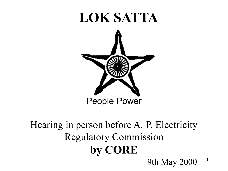#### LOK SATTA



#### Hearing in person before A. P. Electricity Regulatory Commission by CORE 9th May 2000

1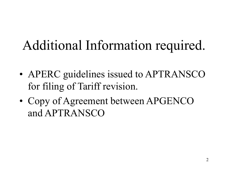# Additional Information required.

- APERC guidelines issued to APTRANSCO for filing of Tariff revision.
- Copy of Agreement between APGENCO and APTRANSCO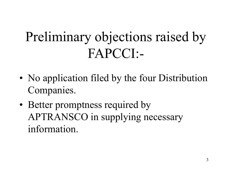# Preliminary objections raised by FAPCCI:-

- No application filed by the four Distribution Companies.
- Better promptness required by APTRANSCO in supplying necessary information.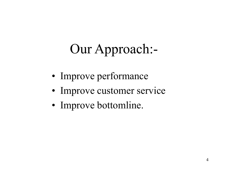# Our Approach:-

- Improve performance
- Improve customer service
- Improve bottomline.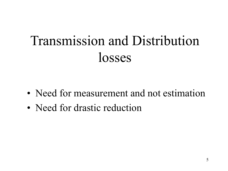# Transmission and Distribution losses

- Need for measurement and not estimation
- Need for drastic reduction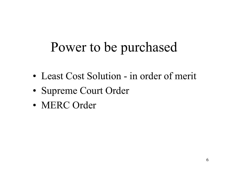# Power to be purchased

- Least Cost Solution in order of merit
- Supreme Court Order
- MERC Order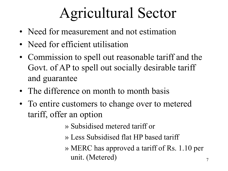# Agricultural Sector

- Need for measurement and not estimation
- Need for efficient utilisation
- Commission to spell out reasonable tariff and the Govt. of AP to spell out socially desirable tariff and guarantee
- The difference on month to month basis
- To entire customers to change over to metered tariff, offer an option
	- » Subsidised metered tariff or
	- » Less Subsidised flat HP based tariff
	- » MERC has approved a tariff of Rs. 1.10 per unit. (Metered)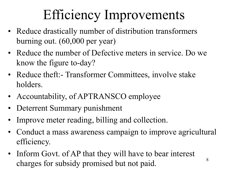# Efficiency Improvements

- Reduce drastically number of distribution transformers burning out. (60,000 per year)
- Reduce the number of Defective meters in service. Do we know the figure to-day?
- Reduce theft: Transformer Committees, involve stake holders.
- Accountability, of APTRANSCO employee
- Deterrent Summary punishment
- Improve meter reading, billing and collection.
- Conduct a mass awareness campaign to improve agricultural efficiency.
- Inform Govt. of AP that they will have to bear interest charges for subsidy promised but not paid.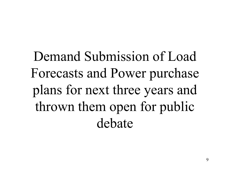Demand Submission of Load Forecasts and Power purchase plans for next three years and thrown them open for public debate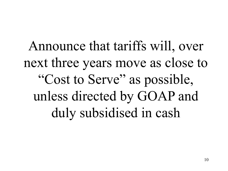Announce that tariffs will, over next three years move as close to "Cost to Serve" as possible, unless directed by GOAP and duly subsidised in cash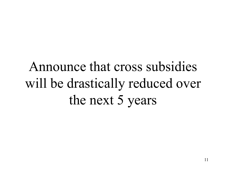# Announce that cross subsidies will be drastically reduced over the next 5 years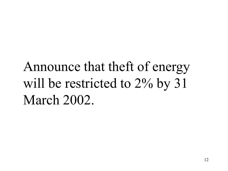# Announce that theft of energy will be restricted to 2% by 31 March 2002.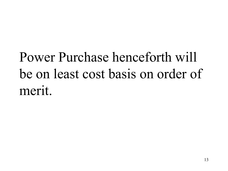# Power Purchase henceforth will be on least cost basis on order of merit.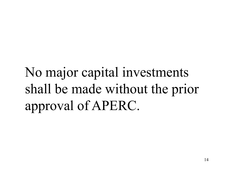No major capital investments shall be made without the prior approval of APERC.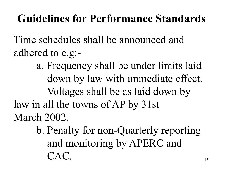#### Guidelines for Performance Standards

Time schedules shall be announced and adhered to e.g:-

a. Frequency shall be under limits laid down by law with immediate effect. Voltages shall be as laid down by law in all the towns of AP by 31st March 2002.

> b. Penalty for non-Quarterly reporting and monitoring by APERC and CAC.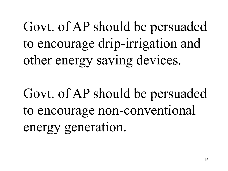Govt. of AP should be persuaded to encourage drip-irrigation and other energy saving devices.

Govt. of AP should be persuaded to encourage non-conventional energy generation.